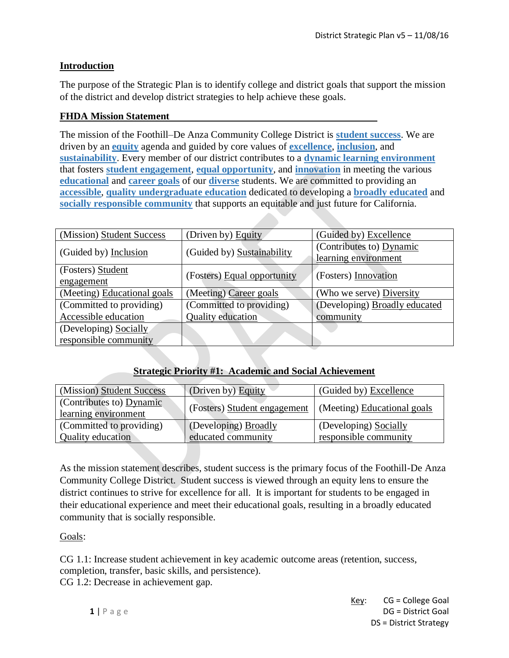### **Introduction**

The purpose of the Strategic Plan is to identify college and district goals that support the mission of the district and develop district strategies to help achieve these goals.

#### **FHDA Mission Statement**

The mission of the Foothill–De Anza Community College District is **student success**. We are driven by an **equity** agenda and guided by core values of **excellence**, **inclusion**, and **sustainability**. Every member of our district contributes to a **dynamic learning environment** that fosters **student engagement**, **equal opportunity**, and **innovation** in meeting the various **educational** and **career goals** of our **diverse** students. We are committed to providing an **accessible**, **quality undergraduate education** dedicated to developing a **broadly educated** and **socially responsible community** that supports an equitable and just future for California.

| (Mission) Student Success   | (Driven by) Equity          | (Guided by) Excellence                           |
|-----------------------------|-----------------------------|--------------------------------------------------|
| (Guided by) Inclusion       | (Guided by) Sustainability  | (Contributes to) Dynamic<br>learning environment |
|                             |                             |                                                  |
| (Fosters) Student           | (Fosters) Equal opportunity | (Fosters) Innovation                             |
| engagement                  |                             |                                                  |
| (Meeting) Educational goals | (Meeting) Career goals      | (Who we serve) Diversity                         |
| (Committed to providing)    | (Committed to providing)    | (Developing) Broadly educated                    |
| Accessible education        | Quality education           | community                                        |
| (Developing) Socially       |                             |                                                  |
| responsible community       |                             |                                                  |

# **Strategic Priority #1: Academic and Social Achievement**

| (Mission) Student Success                        | (Driven by) Equity           | (Guided by) Excellence      |
|--------------------------------------------------|------------------------------|-----------------------------|
| (Contributes to) Dynamic<br>learning environment | (Fosters) Student engagement | (Meeting) Educational goals |
| (Committed to providing)                         | (Developing) Broadly         | (Developing) Socially       |
| Quality education                                | educated community           | responsible community       |

As the mission statement describes, student success is the primary focus of the Foothill-De Anza Community College District. Student success is viewed through an equity lens to ensure the district continues to strive for excellence for all. It is important for students to be engaged in their educational experience and meet their educational goals, resulting in a broadly educated community that is socially responsible.

Goals:

CG 1.1: Increase student achievement in key academic outcome areas (retention, success, completion, transfer, basic skills, and persistence).

CG 1.2: Decrease in achievement gap.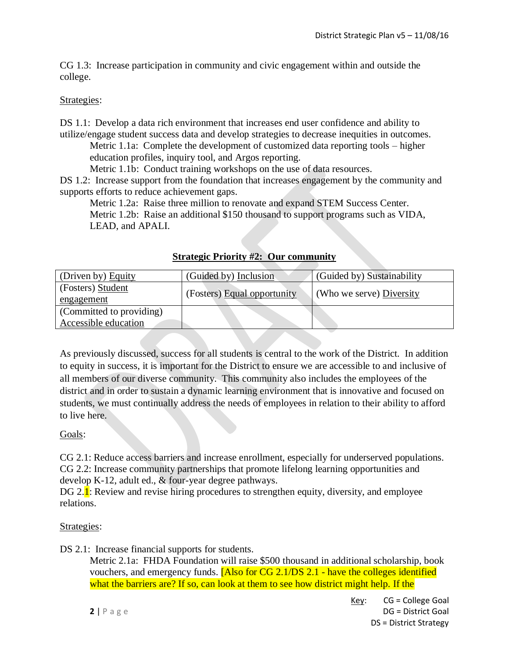CG 1.3: Increase participation in community and civic engagement within and outside the college.

### Strategies:

DS 1.1: Develop a data rich environment that increases end user confidence and ability to utilize/engage student success data and develop strategies to decrease inequities in outcomes.

Metric 1.1a: Complete the development of customized data reporting tools – higher education profiles, inquiry tool, and Argos reporting.

Metric 1.1b: Conduct training workshops on the use of data resources.

DS 1.2: Increase support from the foundation that increases engagement by the community and supports efforts to reduce achievement gaps.

Metric 1.2a: Raise three million to renovate and expand STEM Success Center. Metric 1.2b: Raise an additional \$150 thousand to support programs such as VIDA, LEAD, and APALI.

| (Driven by) Equity       | (Guided by) Inclusion       | (Guided by) Sustainability |
|--------------------------|-----------------------------|----------------------------|
| (Fosters) Student        | (Fosters) Equal opportunity | (Who we serve) Diversity   |
| engagement               |                             |                            |
| (Committed to providing) |                             |                            |
| Accessible education     |                             |                            |

**Strategic Priority #2: Our community**

As previously discussed, success for all students is central to the work of the District. In addition to equity in success, it is important for the District to ensure we are accessible to and inclusive of all members of our diverse community. This community also includes the employees of the district and in order to sustain a dynamic learning environment that is innovative and focused on students, we must continually address the needs of employees in relation to their ability to afford to live here.

# Goals:

CG 2.1: Reduce access barriers and increase enrollment, especially for underserved populations. CG 2.2: Increase community partnerships that promote lifelong learning opportunities and develop K-12, adult ed., & four-year degree pathways.

DG 2. $\mathbf{I}$ : Review and revise hiring procedures to strengthen equity, diversity, and employee relations.

# Strategies:

DS 2.1: Increase financial supports for students.

Metric 2.1a: FHDA Foundation will raise \$500 thousand in additional scholarship, book vouchers, and emergency funds. [Also for CG 2.1/DS 2.1 - have the colleges identified what the barriers are? If so, can look at them to see how district might help. If the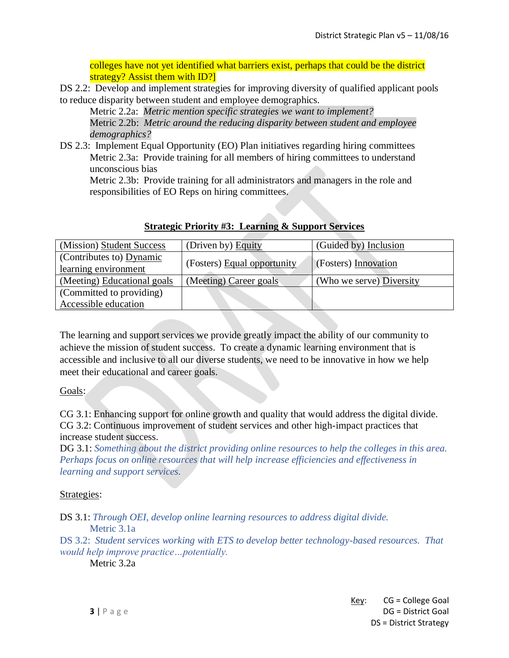colleges have not yet identified what barriers exist, perhaps that could be the district strategy? Assist them with ID?

DS 2.2: Develop and implement strategies for improving diversity of qualified applicant pools to reduce disparity between student and employee demographics.

Metric 2.2a: *Metric mention specific strategies we want to implement?* Metric 2.2b: *Metric around the reducing disparity between student and employee demographics?*

DS 2.3: Implement Equal Opportunity (EO) Plan initiatives regarding hiring committees Metric 2.3a: Provide training for all members of hiring committees to understand unconscious bias

Metric 2.3b: Provide training for all administrators and managers in the role and responsibilities of EO Reps on hiring committees.

| (Mission) Student Success   | (Driven by) Equity          | (Guided by) Inclusion    |
|-----------------------------|-----------------------------|--------------------------|
| (Contributes to) Dynamic    | (Fosters) Equal opportunity | (Fosters) Innovation     |
| learning environment        |                             |                          |
| (Meeting) Educational goals | (Meeting) Career goals      | (Who we serve) Diversity |
| (Committed to providing)    |                             |                          |
| Accessible education        |                             |                          |

# **Strategic Priority #3: Learning & Support Services**

The learning and support services we provide greatly impact the ability of our community to achieve the mission of student success. To create a dynamic learning environment that is accessible and inclusive to all our diverse students, we need to be innovative in how we help meet their educational and career goals.

Goals:

CG 3.1: Enhancing support for online growth and quality that would address the digital divide. CG 3.2: Continuous improvement of student services and other high-impact practices that increase student success.

DG 3.1: *Something about the district providing online resources to help the colleges in this area. Perhaps focus on online resources that will help increase efficiencies and effectiveness in learning and support services.*

#### Strategies:

DS 3.1: *Through OEI, develop online learning resources to address digital divide.* Metric 3.1a

DS 3.2: *Student services working with ETS to develop better technology-based resources. That would help improve practice…potentially.*

Metric 3.2a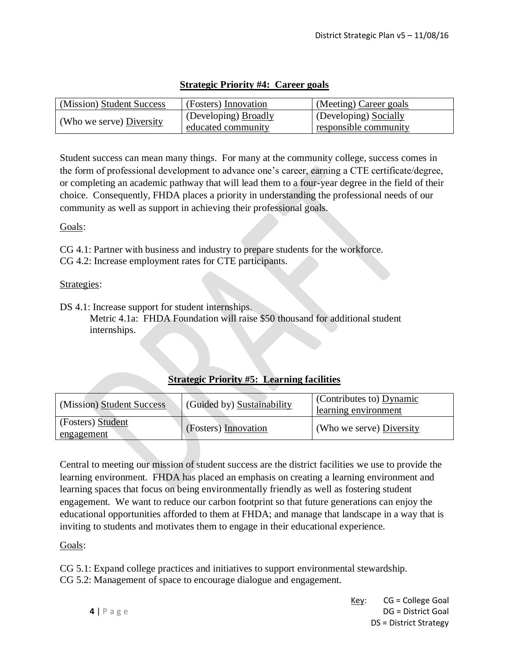| (Mission) Student Success | (Fosters) Innovation                              | (Meeting) Career goals                         |
|---------------------------|---------------------------------------------------|------------------------------------------------|
| (Who we serve) Diversity  | (Developing) <b>Broadly</b><br>educated community | (Developing) Socially<br>responsible community |

### **Strategic Priority #4: Career goals**

Student success can mean many things. For many at the community college, success comes in the form of professional development to advance one's career, earning a CTE certificate/degree, or completing an academic pathway that will lead them to a four-year degree in the field of their choice. Consequently, FHDA places a priority in understanding the professional needs of our community as well as support in achieving their professional goals.

#### Goals:

CG 4.1: Partner with business and industry to prepare students for the workforce. CG 4.2: Increase employment rates for CTE participants.

#### Strategies:

DS 4.1: Increase support for student internships.

Metric 4.1a: FHDA Foundation will raise \$50 thousand for additional student internships.

# **Strategic Priority #5: Learning facilities**

| (Mission) Student Success              | (Guided by) Sustainability | (Contributes to) Dynamic<br>learning environment |
|----------------------------------------|----------------------------|--------------------------------------------------|
| (Fosters) Student<br><u>engagement</u> | (Fosters) Innovation       | (Who we serve) Diversity                         |

Central to meeting our mission of student success are the district facilities we use to provide the learning environment. FHDA has placed an emphasis on creating a learning environment and learning spaces that focus on being environmentally friendly as well as fostering student engagement. We want to reduce our carbon footprint so that future generations can enjoy the educational opportunities afforded to them at FHDA; and manage that landscape in a way that is inviting to students and motivates them to engage in their educational experience.

# Goals:

CG 5.1: Expand college practices and initiatives to support environmental stewardship. CG 5.2: Management of space to encourage dialogue and engagement.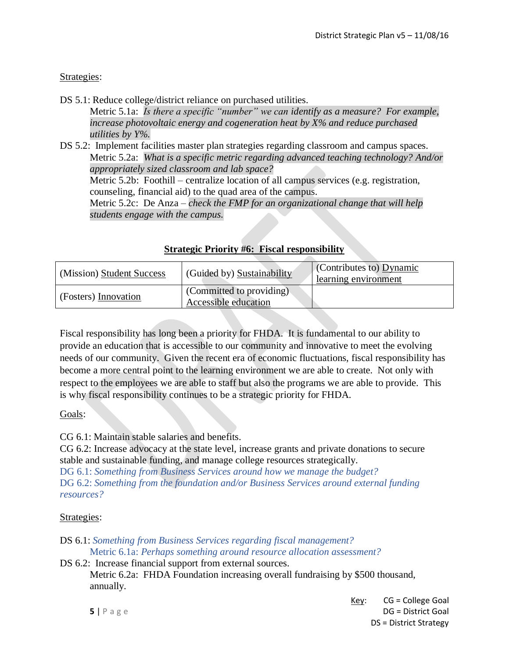### Strategies:

DS 5.1: Reduce college/district reliance on purchased utilities.

Metric 5.1a: *Is there a specific "number" we can identify as a measure? For example, increase photovoltaic energy and cogeneration heat by X% and reduce purchased utilities by Y%.*

DS 5.2: Implement facilities master plan strategies regarding classroom and campus spaces. Metric 5.2a: *What is a specific metric regarding advanced teaching technology? And/or appropriately sized classroom and lab space?* Metric 5.2b: Foothill – centralize location of all campus services (e.g. registration, counseling, financial aid) to the quad area of the campus. Metric 5.2c: De Anza – *check the FMP for an organizational change that will help students engage with the campus.*

| (Mission) Student Success | (Guided by) Sustainability                       | Contributes to Dynamic<br>learning environment |
|---------------------------|--------------------------------------------------|------------------------------------------------|
| (Fosters) Innovation      | (Committed to providing)<br>Accessible education |                                                |

#### **Strategic Priority #6: Fiscal responsibility**

Fiscal responsibility has long been a priority for FHDA. It is fundamental to our ability to provide an education that is accessible to our community and innovative to meet the evolving needs of our community. Given the recent era of economic fluctuations, fiscal responsibility has become a more central point to the learning environment we are able to create. Not only with respect to the employees we are able to staff but also the programs we are able to provide. This is why fiscal responsibility continues to be a strategic priority for FHDA.

#### Goals:

CG 6.1: Maintain stable salaries and benefits.

CG 6.2: Increase advocacy at the state level, increase grants and private donations to secure stable and sustainable funding, and manage college resources strategically.

DG 6.1: *Something from Business Services around how we manage the budget?* DG 6.2: *Something from the foundation and/or Business Services around external funding resources?*

#### Strategies:

- DS 6.1: *Something from Business Services regarding fiscal management?* Metric 6.1a: *Perhaps something around resource allocation assessment?*
- DS 6.2: Increase financial support from external sources.

Metric 6.2a: FHDA Foundation increasing overall fundraising by \$500 thousand, annually.

Key: CG = College Goal **5** | P a g e **DG = District Goal** DS = District Strategy